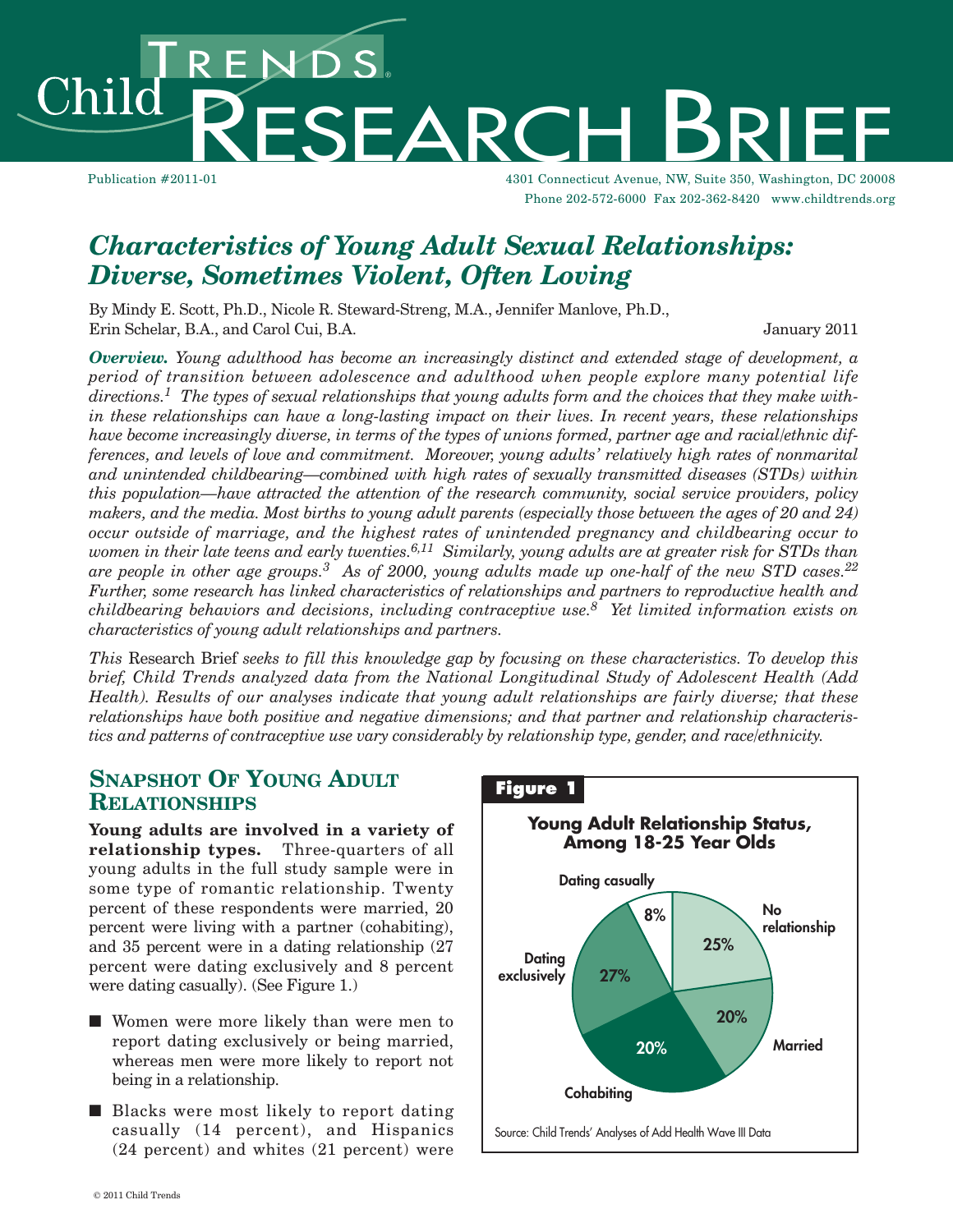hild

Publication #2011-01 4301 Connecticut Avenue, NW, Suite 350, Washington, DC 20008 Phone 202-572-6000 Fax 202-362-8420 www.childtrends.org

# *Characteristics of Young Adult Sexual Relationships: Diverse, Sometimes Violent, Often Loving*

By Mindy E. Scott, Ph.D., Nicole R. Steward-Streng, M.A., Jennifer Manlove, Ph.D., Erin Schelar, B.A., and Carol Cui, B.A. January 2011

ENDS.<br>RESEARC

*Overview. Young adulthood has become an increasingly distinct and extended stage of development, a period of transition between adolescence and adulthood when people explore many potential life*  $directions.<sup>1</sup>$  The types of sexual relationships that young adults form and the choices that they make with*in these relationships can have a long-lasting impact on their lives. In recent years, these relationships* have become increasingly diverse, in terms of the types of unions formed, partner age and racial/ethnic dif*ferences, and levels of love and commitment. Moreover, young adults' relatively high rates of nonmarital and unintended childbearing—combined with high rates of sexually transmitted diseases (STDs) within this population—have attracted the attention of the research community, social service providers, policy* makers, and the media. Most births to young adult parents (especially those between the ages of 20 and 24) *occur outside of marriage, and the highest rates of unintended pregnancy and childbearing occur to* women in their late teens and early twenties. $^{6,11}\,$  Similarly, young adults are at greater risk for STDs than are people in other age groups. $^3\,$  As of 2000, young adults made up one-half of the new STD cases. $^{22}$ *Further, some research has linked characteristics of relationships and partners to reproductive health and childbearing behaviors and decisions, including contraceptive use. <sup>8</sup> Yet limited information exists on characteristics of young adult relationships and partners.*

*This* Research Brief *seeks to fill this knowledge gap by focusing on these characteristics. To develop this brief, Child Trends analyzed data from the National Longitudinal Study of Adolescent Health (Add Health). Results of our analyses indicate that young adult relationships are fairly diverse; that these relationships have both positive and negative dimensions; and that partner and relationship characteristics and patterns of contraceptive use vary considerably by relationship type, gender, and race/ethnicity.*

## **SNAPSHOT OF YOUNG ADULT RELATIONSHIPS**

**Young adults are involved in a variety of relationship types.** Three-quarters of all young adults in the full study sample were in some type of romantic relationship. Twenty percent of these respondents were married, 20 percent were living with a partner (cohabiting), and 35 percent were in a dating relationship (27 percent were dating exclusively and 8 percent were dating casually). (See Figure 1.)

- Women were more likely than were men to report dating exclusively or being married, whereas men were more likely to report not being in a relationship.
- Blacks were most likely to report dating casually (14 percent), and Hispanics (24 percent) and whites (21 percent) were

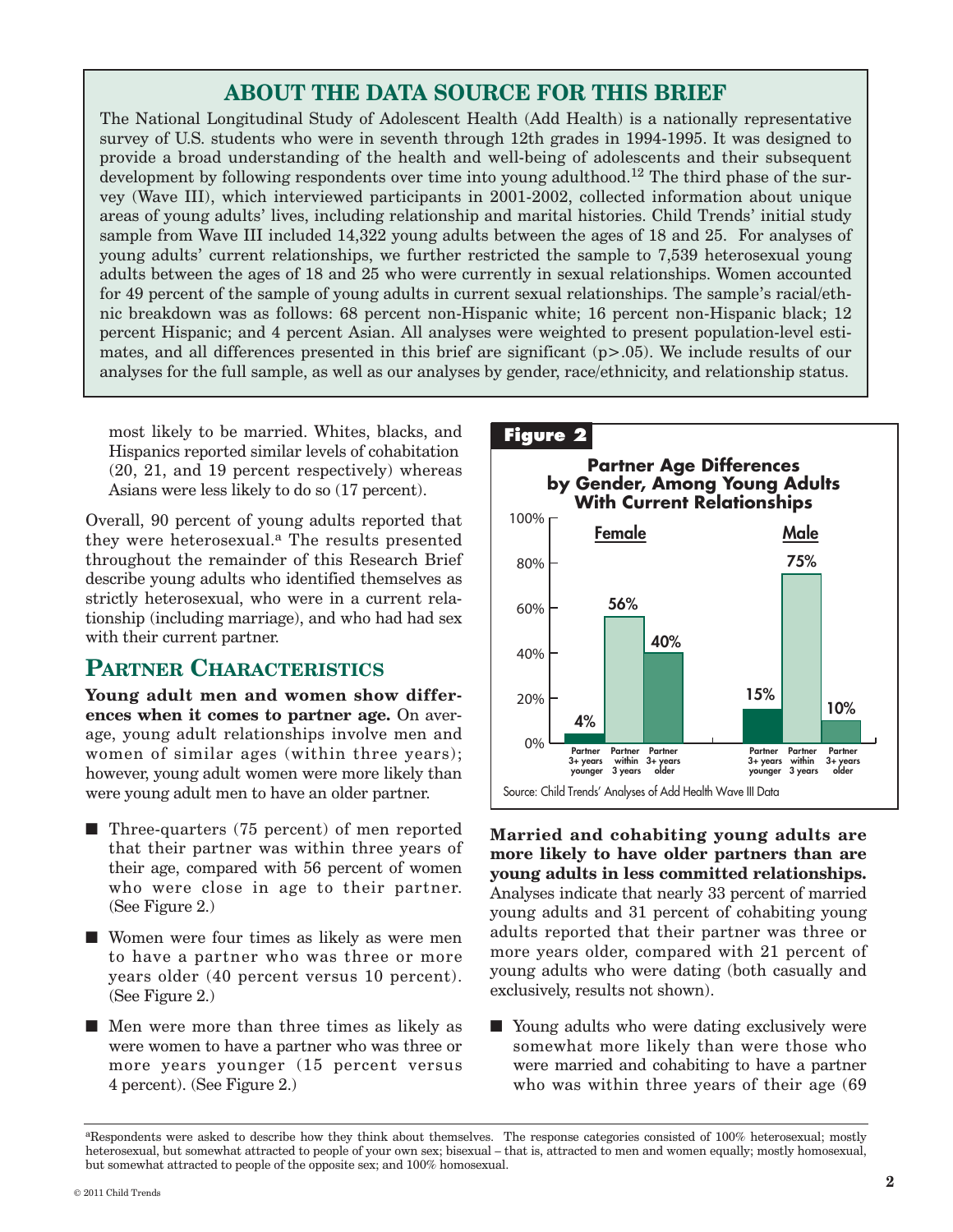## **ABOUT THE DATA SOURCE FOR THIS BRIEF**

The National Longitudinal Study of Adolescent Health (Add Health) is a nationally representative survey of U.S. students who were in seventh through 12th grades in 1994-1995. It was designed to provide a broad understanding of the health and well-being of adolescents and their subsequent development by following respondents over time into young adulthood.<sup>12</sup> The third phase of the survey (Wave III), which interviewed participants in 2001-2002, collected information about unique areas of young adults' lives, including relationship and marital histories. Child Trends' initial study sample from Wave III included 14,322 young adults between the ages of 18 and 25. For analyses of young adults' current relationships, we further restricted the sample to 7,539 heterosexual young adults between the ages of 18 and 25 who were currently in sexual relationships. Women accounted for 49 percent of the sample of young adults in current sexual relationships. The sample's racial/ethnic breakdown was as follows: 68 percent non-Hispanic white; 16 percent non-Hispanic black; 12 percent Hispanic; and 4 percent Asian. All analyses were weighted to present population-level estimates, and all differences presented in this brief are significant  $(p>0.05)$ . We include results of our analyses for the full sample, as well as our analyses by gender, race/ethnicity, and relationship status.

most likely to be married. Whites, blacks, and Hispanics reported similar levels of cohabitation (20, 21, and 19 percent respectively) whereas Asians were less likely to do so (17 percent).

Overall, 90 percent of young adults reported that they were heterosexual. <sup>a</sup> The results presented throughout the remainder of this Research Brief describe young adults who identified themselves as strictly heterosexual, who were in a current relationship (including marriage), and who had had sex with their current partner.

## **PARTNER CHARACTERISTICS**

**Young adult men and women show differences when it comes to partner age.** On average, young adult relationships involve men and women of similar ages (within three years); however, young adult women were more likely than were young adult men to have an older partner.

- Three-quarters (75 percent) of men reported that their partner was within three years of their age, compared with 56 percent of women who were close in age to their partner. (See Figure 2.)
- Women were four times as likely as were men to have a partner who was three or more years older (40 percent versus 10 percent). (See Figure 2.)
- Men were more than three times as likely as were women to have a partner who was three or more years younger (15 percent versus 4 percent). (See Figure 2.)



**Married and cohabiting young adults are more likely to have older partners than are young adults in less committed relationships.** Analyses indicate that nearly 33 percent of married young adults and 31 percent of cohabiting young adults reported that their partner was three or more years older, compared with 21 percent of young adults who were dating (both casually and exclusively, results not shown).

■ Young adults who were dating exclusively were somewhat more likely than were those who were married and cohabiting to have a partner who was within three years of their age (69

aRespondents were asked to describe how they think about themselves. The response categories consisted of 100% heterosexual; mostly heterosexual, but somewhat attracted to people of your own sex; bisexual – that is, attracted to men and women equally; mostly homosexual, but somewhat attracted to people of the opposite sex; and 100% homosexual.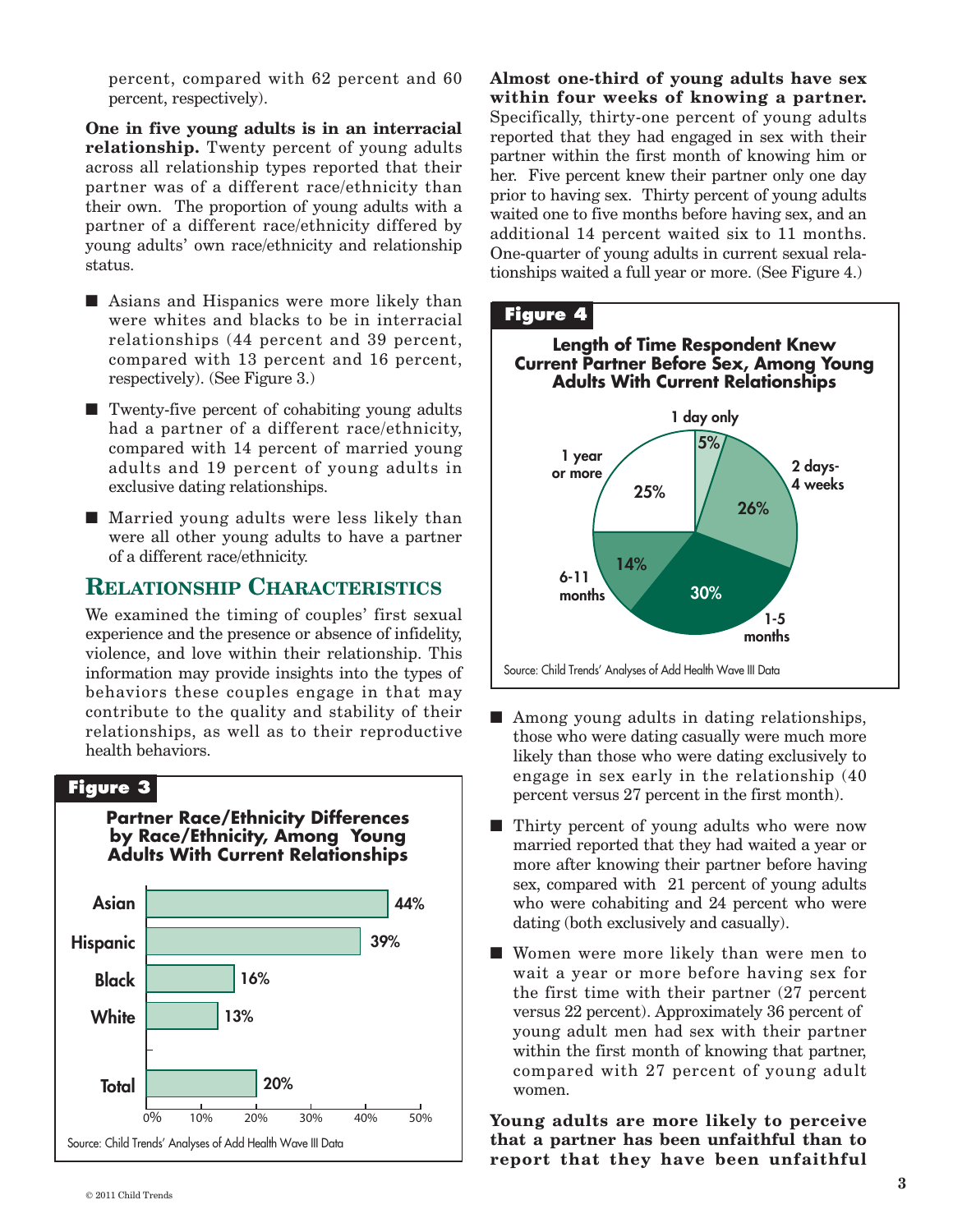percent, compared with 62 percent and 60 percent, respectively).

**One in five young adults is in an interracial relationship.** Twenty percent of young adults across all relationship types reported that their partner was of a different race/ethnicity than their own. The proportion of young adults with a partner of a different race/ethnicity differed by young adults' own race/ethnicity and relationship status.

- Asians and Hispanics were more likely than were whites and blacks to be in interracial relationships (44 percent and 39 percent, compared with 13 percent and 16 percent, respectively). (See Figure 3.)
- Twenty-five percent of cohabiting young adults had a partner of a different race/ethnicity, compared with 14 percent of married young adults and 19 percent of young adults in exclusive dating relationships.
- Married young adults were less likely than were all other young adults to have a partner of a different race/ethnicity.

## **RELATIONSHIP CHARACTERISTICS**

We examined the timing of couples' first sexual experience and the presence or absence of infidelity, violence, and love within their relationship. This information may provide insights into the types of behaviors these couples engage in that may contribute to the quality and stability of their relationships, as well as to their reproductive health behaviors.



**Almost one-third of young adults have sex within four weeks of knowing a partner.** Specifically, thirty-one percent of young adults reported that they had engaged in sex with their partner within the first month of knowing him or her. Five percent knew their partner only one day prior to having sex. Thirty percent of young adults waited one to five months before having sex, and an additional 14 percent waited six to 11 months. One-quarter of young adults in current sexual relationships waited a full year or more. (See Figure 4.)



- Among young adults in dating relationships, those who were dating casually were much more likely than those who were dating exclusively to engage in sex early in the relationship (40 percent versus 27 percent in the first month).
- Thirty percent of young adults who were now married reported that they had waited a year or more after knowing their partner before having sex, compared with 21 percent of young adults who were cohabiting and 24 percent who were dating (both exclusively and casually).
- Women were more likely than were men to wait a year or more before having sex for the first time with their partner (27 percent versus 22 percent). Approximately 36 percent of young adult men had sex with their partner within the first month of knowing that partner, compared with 27 percent of young adult women.

**Young adults are more likely to perceive that a partner has been unfaithful than to report that they have been unfaithful**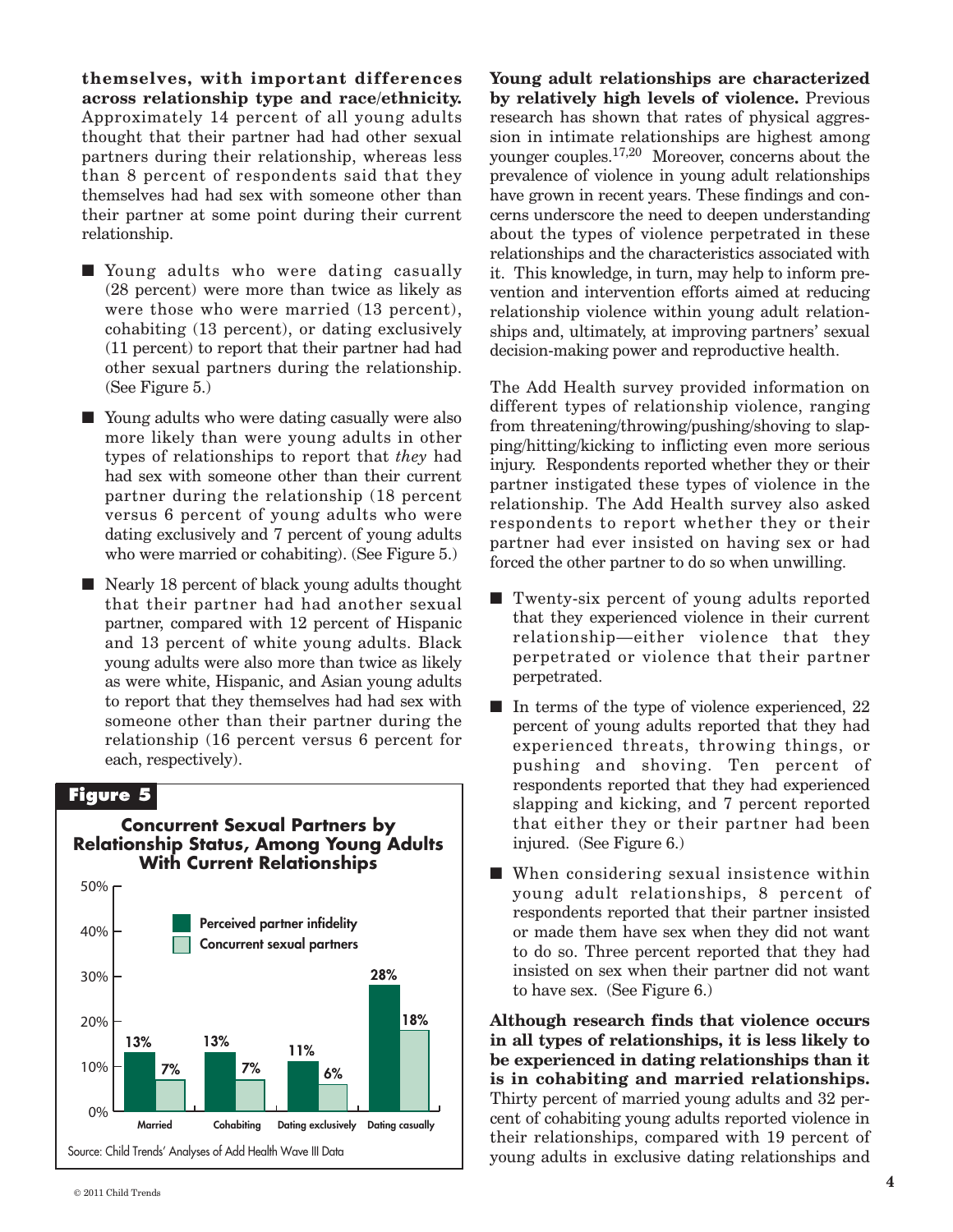**themselves, with important differences across relationship type and race/ethnicity.** Approximately 14 percent of all young adults thought that their partner had had other sexual partners during their relationship, whereas less than 8 percent of respondents said that they themselves had had sex with someone other than their partner at some point during their current relationship.

- Young adults who were dating casually (28 percent) were more than twice as likely as were those who were married (13 percent), cohabiting (13 percent), or dating exclusively (11 percent) to report that their partner had had other sexual partners during the relationship. (See Figure 5.)
- Young adults who were dating casually were also more likely than were young adults in other types of relationships to report that *they* had had sex with someone other than their current partner during the relationship (18 percent versus 6 percent of young adults who were dating exclusively and 7 percent of young adults who were married or cohabiting). (See Figure 5.)
- Nearly 18 percent of black young adults thought that their partner had had another sexual partner, compared with 12 percent of Hispanic and 13 percent of white young adults. Black young adults were also more than twice as likely as were white, Hispanic, and Asian young adults to report that they themselves had had sex with someone other than their partner during the relationship (16 percent versus 6 percent for each, respectively).

### **Figure 5**



**Young adult relationships are characterized by relatively high levels of violence.** Previous research has shown that rates of physical aggression in intimate relationships are highest among younger couples.<sup>17,20</sup> Moreover, concerns about the prevalence of violence in young adult relationships have grown in recent years. These findings and concerns underscore the need to deepen understanding about the types of violence perpetrated in these relationships and the characteristics associated with it. This knowledge, in turn, may help to inform prevention and intervention efforts aimed at reducing relationship violence within young adult relationships and, ultimately, at improving partners' sexual decision-making power and reproductive health.

The Add Health survey provided information on different types of relationship violence, ranging from threatening/throwing/pushing/shoving to slapping/hitting/kicking to inflicting even more serious injury. Respondents reported whether they or their partner instigated these types of violence in the relationship. The Add Health survey also asked respondents to report whether they or their partner had ever insisted on having sex or had forced the other partner to do so when unwilling.

- Twenty-six percent of young adults reported that they experienced violence in their current relationship—either violence that they perpetrated or violence that their partner perpetrated.
- In terms of the type of violence experienced, 22 percent of young adults reported that they had experienced threats, throwing things, or pushing and shoving. Ten percent of respondents reported that they had experienced slapping and kicking, and 7 percent reported that either they or their partner had been injured. (See Figure 6.)
- When considering sexual insistence within young adult relationships, 8 percent of respondents reported that their partner insisted or made them have sex when they did not want to do so. Three percent reported that they had insisted on sex when their partner did not want to have sex. (See Figure 6.)

**Although research finds that violence occurs in all types of relationships, it is less likely to be experienced in dating relationships than it is in cohabiting and married relationships.** Thirty percent of married young adults and 32 percent of cohabiting young adults reported violence in their relationships, compared with 19 percent of young adults in exclusive dating relationships and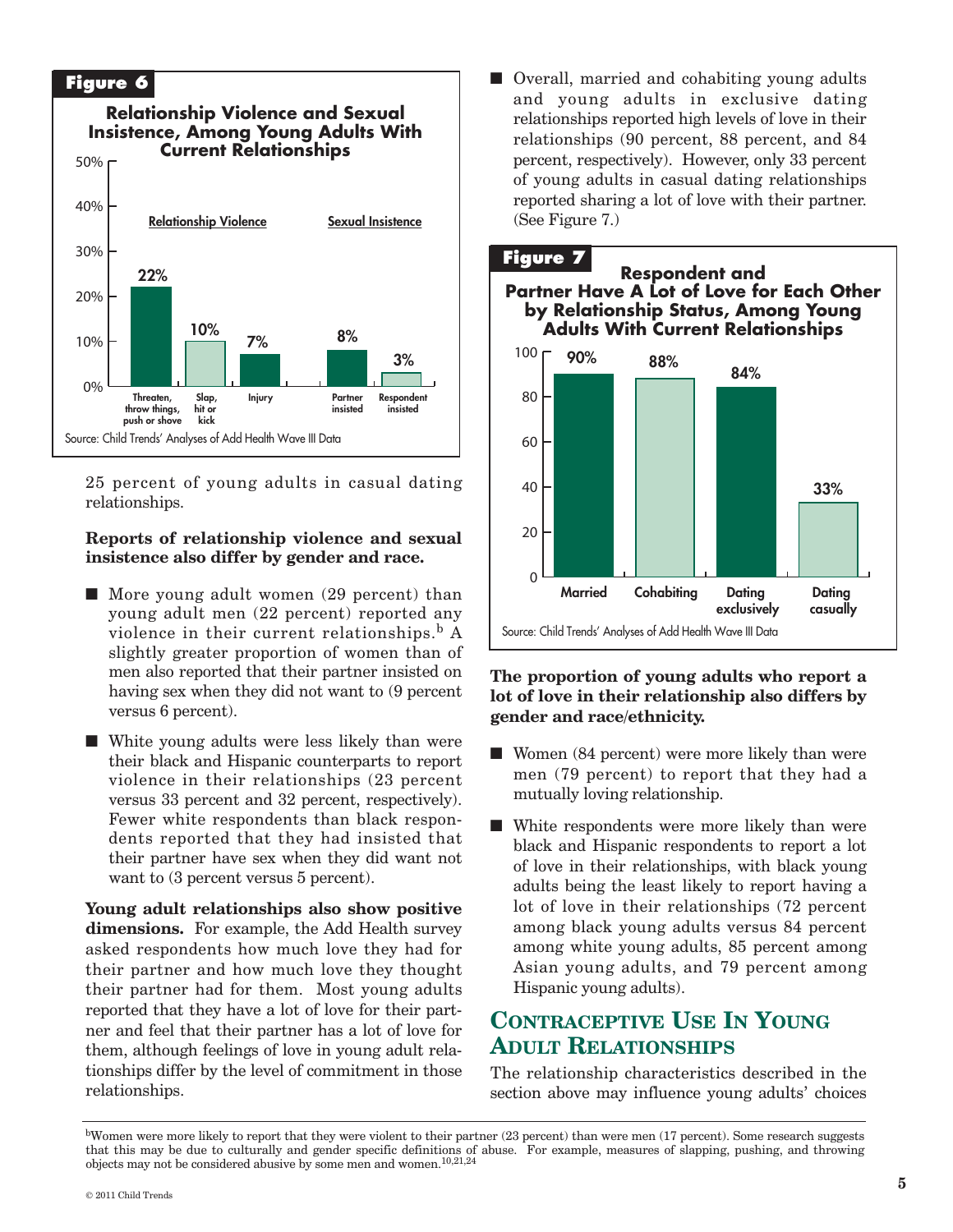

25 percent of young adults in casual dating relationships.

#### **Reports of relationship violence and sexual insistence also differ by gender and race.**

- More young adult women (29 percent) than young adult men (22 percent) reported any violence in their current relationships. <sup>b</sup> A slightly greater proportion of women than of men also reported that their partner insisted on having sex when they did not want to (9 percent versus 6 percent).
- White young adults were less likely than were their black and Hispanic counterparts to report violence in their relationships (23 percent versus 33 percent and 32 percent, respectively). Fewer white respondents than black respondents reported that they had insisted that their partner have sex when they did want not want to  $(3$  percent versus 5 percent).

**Young adult relationships also show positive dimensions.** For example, the Add Health survey asked respondents how much love they had for their partner and how much love they thought their partner had for them. Most young adults reported that they have a lot of love for their partner and feel that their partner has a lot of love for them, although feelings of love in young adult relationships differ by the level of commitment in those relationships.

■ Overall, married and cohabiting young adults and young adults in exclusive dating relationships reported high levels of love in their relationships (90 percent, 88 percent, and 84 percent, respectively). However, only 33 percent of young adults in casual dating relationships reported sharing a lot of love with their partner. (See Figure 7.)



#### **The proportion of young adults who report a lot of love in their relationship also differs by gender and race/ethnicity.**

- Women (84 percent) were more likely than were men (79 percent) to report that they had a mutually loving relationship.
- White respondents were more likely than were black and Hispanic respondents to report a lot of love in their relationships, with black young adults being the least likely to report having a lot of love in their relationships (72 percent among black young adults versus 84 percent among white young adults, 85 percent among Asian young adults, and 79 percent among Hispanic young adults).

## **CONTRACEPTIVE USE IN YOUNG ADULT RELATIONSHIPS**

The relationship characteristics described in the section above may influence young adults' choices

bWomen were more likely to report that they were violent to their partner (23 percent) than were men (17 percent). Some research suggests that this may be due to culturally and gender specific definitions of abuse. For example, measures of slapping, pushing, and throwing objects may not be considered abusive by some men and women. 10,21,24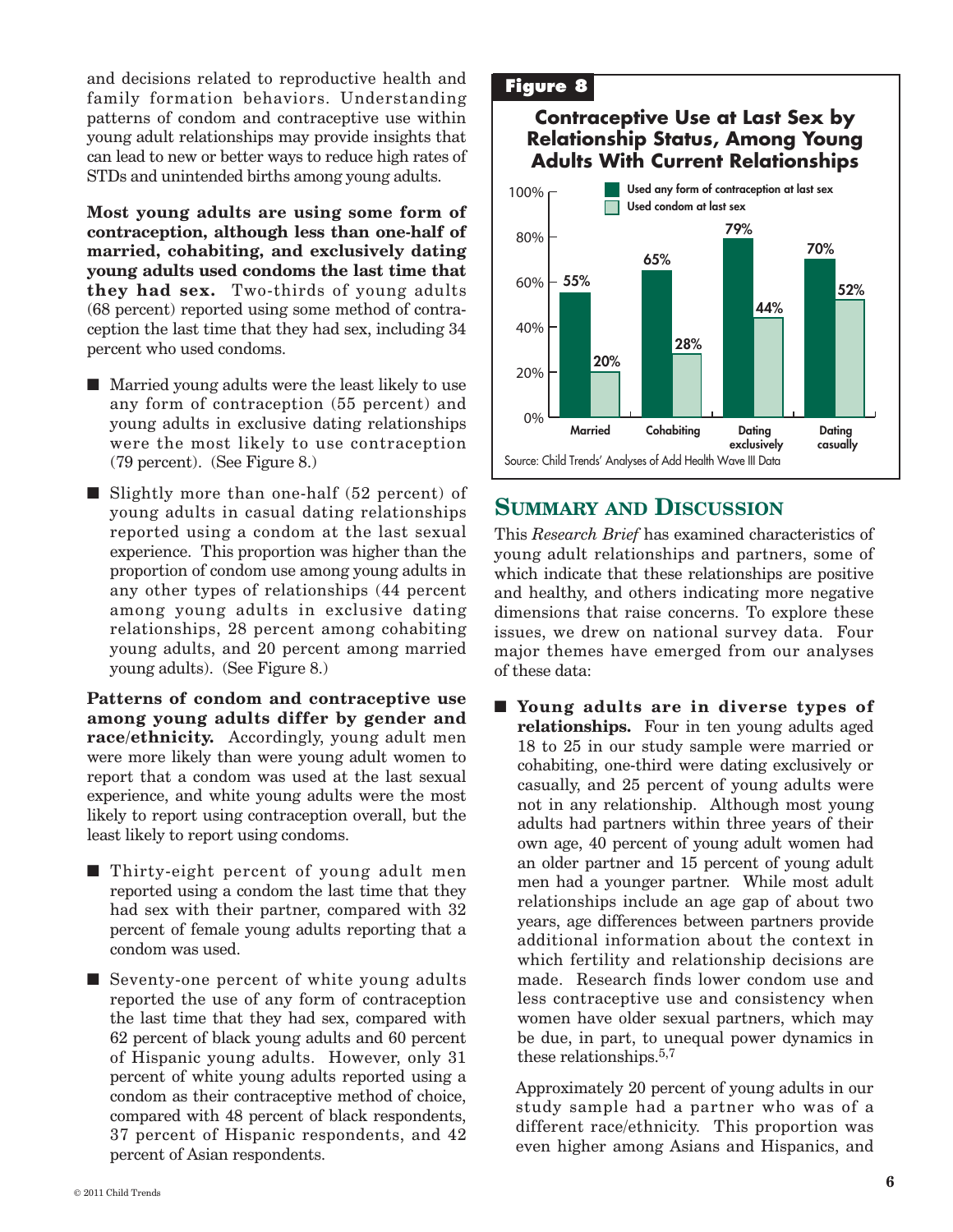and decisions related to reproductive health and family formation behaviors. Understanding patterns of condom and contraceptive use within young adult relationships may provide insights that can lead to new or better ways to reduce high rates of STDs and unintended births among young adults.

**Most young adults are using some form of contraception, although less than one-half of married, cohabiting, and exclusively dating young adults used condoms the last time that they had sex.** Two-thirds of young adults (68 percent) reported using some method of contraception the last time that they had sex, including 34 percent who used condoms.

- Married young adults were the least likely to use any form of contraception (55 percent) and young adults in exclusive dating relationships were the most likely to use contraception (79 percent). (See Figure 8.)
- Slightly more than one-half (52 percent) of young adults in casual dating relationships reported using a condom at the last sexual experience. This proportion was higher than the proportion of condom use among young adults in any other types of relationships (44 percent among young adults in exclusive dating relationships, 28 percent among cohabiting young adults, and 20 percent among married young adults). (See Figure 8.)

**Patterns of condom and contraceptive use among young adults differ by gender and race/ethnicity.** Accordingly, young adult men were more likely than were young adult women to report that a condom was used at the last sexual experience, and white young adults were the most likely to report using contraception overall, but the least likely to report using condoms.

- Thirty-eight percent of young adult men reported using a condom the last time that they had sex with their partner, compared with 32 percent of female young adults reporting that a condom was used.
- Seventy-one percent of white young adults reported the use of any form of contraception the last time that they had sex, compared with 62 percent of black young adults and 60 percent of Hispanic young adults. However, only 31 percent of white young adults reported using a condom as their contraceptive method of choice, compared with 48 percent of black respondents, 37 percent of Hispanic respondents, and 42 percent of Asian respondents.

#### **Figure 8**

## **Contraceptive Use at Last Sex by Relationship Status, Among Young Adults With Current Relationships**



## **SUMMARY AND DISCUSSION**

This *Research Brief* has examined characteristics of young adult relationships and partners, some of which indicate that these relationships are positive and healthy, and others indicating more negative dimensions that raise concerns. To explore these issues, we drew on national survey data. Four major themes have emerged from our analyses of these data:

**■ Young adults are in diverse types of relationships.** Four in ten young adults aged 18 to 25 in our study sample were married or cohabiting, one-third were dating exclusively or casually, and 25 percent of young adults were not in any relationship. Although most young adults had partners within three years of their own age, 40 percent of young adult women had an older partner and 15 percent of young adult men had a younger partner. While most adult relationships include an age gap of about two years, age differences between partners provide additional information about the context in which fertility and relationship decisions are made. Research finds lower condom use and less contraceptive use and consistency when women have older sexual partners, which may be due, in part, to unequal power dynamics in these relationships.<sup>5,7</sup>

Approximately 20 percent of young adults in our study sample had a partner who was of a different race/ethnicity. This proportion was even higher among Asians and Hispanics, and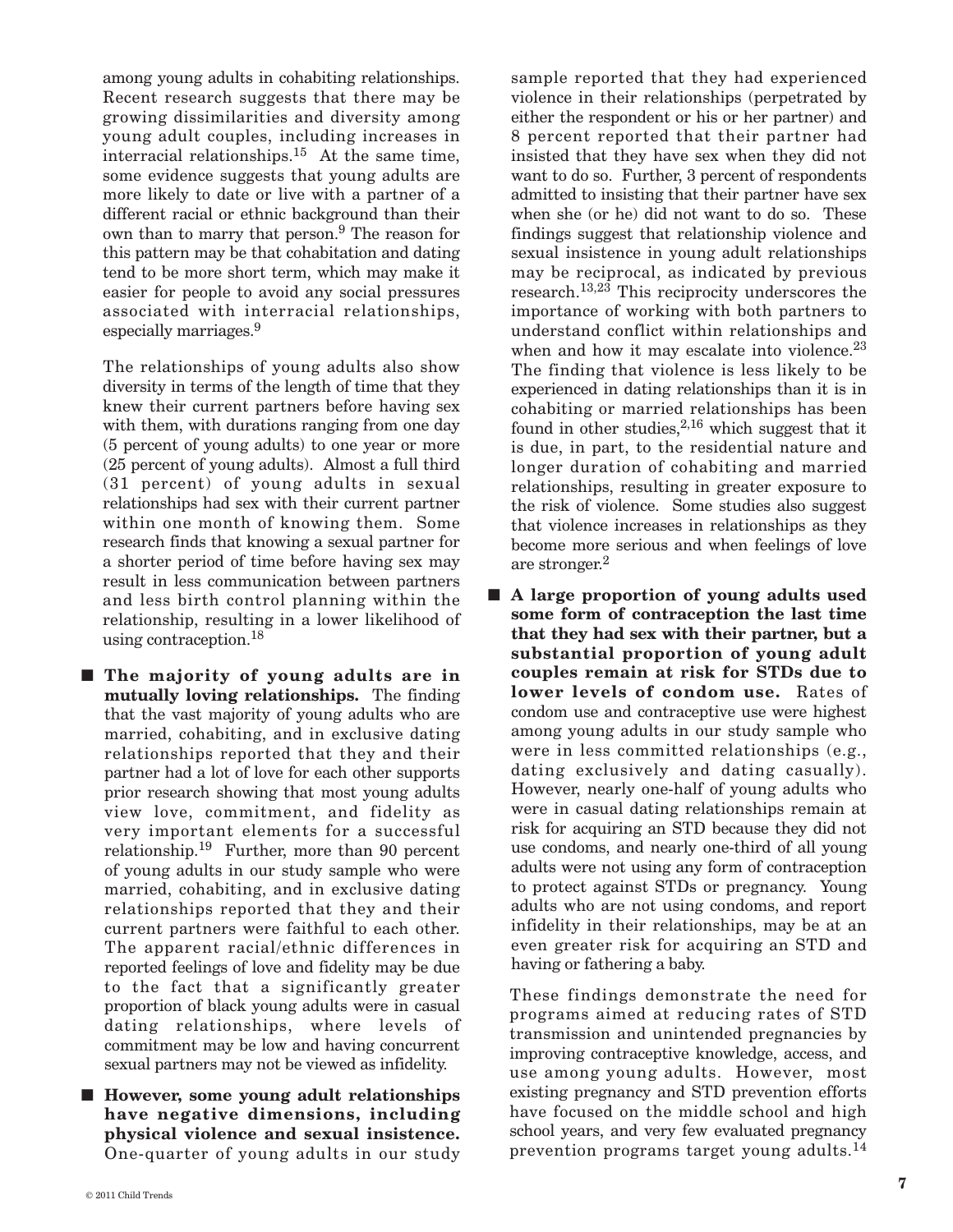among young adults in cohabiting relationships. Recent research suggests that there may be growing dissimilarities and diversity among young adult couples, including increases in interracial relationships. <sup>15</sup> At the same time, some evidence suggests that young adults are more likely to date or live with a partner of a different racial or ethnic background than their own than to marry that person. <sup>9</sup> The reason for this pattern may be that cohabitation and dating tend to be more short term, which may make it easier for people to avoid any social pressures associated with interracial relationships, especially marriages. 9

The relationships of young adults also show diversity in terms of the length of time that they knew their current partners before having sex with them, with durations ranging from one day (5 percent of young adults) to one year or more (25 percent of young adults). Almost a full third (31 percent) of young adults in sexual relationships had sex with their current partner within one month of knowing them. Some research finds that knowing a sexual partner for a shorter period of time before having sex may result in less communication between partners and less birth control planning within the relationship, resulting in a lower likelihood of using contraception. 18

**■ The majority of young adults are in mutually loving relationships.** The finding that the vast majority of young adults who are married, cohabiting, and in exclusive dating relationships reported that they and their partner had a lot of love for each other supports prior research showing that most young adults view love, commitment, and fidelity as very important elements for a successful relationship. <sup>19</sup> Further, more than 90 percent of young adults in our study sample who were married, cohabiting, and in exclusive dating relationships reported that they and their current partners were faithful to each other. The apparent racial/ethnic differences in reported feelings of love and fidelity may be due to the fact that a significantly greater proportion of black young adults were in casual dating relationships, where levels of commitment may be low and having concurrent sexual partners may not be viewed as infidelity.

■ **However, some young adult relationships have negative dimensions, including physical violence and sexual insistence.** One-quarter of young adults in our study

sample reported that they had experienced violence in their relationships (perpetrated by either the respondent or his or her partner) and 8 percent reported that their partner had insisted that they have sex when they did not want to do so. Further, 3 percent of respondents admitted to insisting that their partner have sex when she (or he) did not want to do so. These findings suggest that relationship violence and sexual insistence in young adult relationships may be reciprocal, as indicated by previous research. 13,23 This reciprocity underscores the importance of working with both partners to understand conflict within relationships and when and how it may escalate into violence.<sup>23</sup> The finding that violence is less likely to be experienced in dating relationships than it is in cohabiting or married relationships has been found in other studies,<sup>2,16</sup> which suggest that it is due, in part, to the residential nature and longer duration of cohabiting and married relationships, resulting in greater exposure to the risk of violence. Some studies also suggest that violence increases in relationships as they become more serious and when feelings of love are stronger. 2

**■ A large proportion of young adults used some form of contraception the last time that they had sex with their partner, but a substantial proportion of young adult couples remain at risk for STDs due to lower levels of condom use.** Rates of condom use and contraceptive use were highest among young adults in our study sample who were in less committed relationships (e.g., dating exclusively and dating casually). However, nearly one-half of young adults who were in casual dating relationships remain at risk for acquiring an STD because they did not use condoms, and nearly one-third of all young adults were not using any form of contraception to protect against STDs or pregnancy. Young adults who are not using condoms, and report infidelity in their relationships, may be at an even greater risk for acquiring an STD and having or fathering a baby.

These findings demonstrate the need for programs aimed at reducing rates of STD transmission and unintended pregnancies by improving contraceptive knowledge, access, and use among young adults. However, most existing pregnancy and STD prevention efforts have focused on the middle school and high school years, and very few evaluated pregnancy prevention programs target young adults. 14